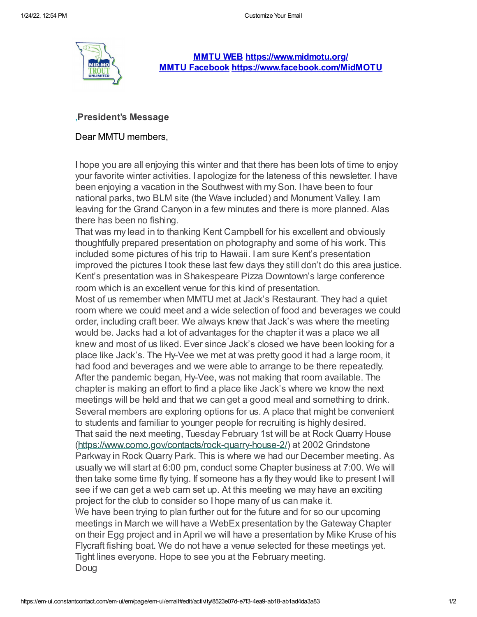

**[MMTU](http://r20.rs6.net/tn.jsp?t=9j7dl4abb.0.0.seo5rqtab.0&id=preview&r=3&p=http%3A%2F%2Fmidmissorui.tu.org) WEB [https://www.midmotu.org/](http://r20.rs6.net/tn.jsp?t=9j7dl4abb.0.0.seo5rqtab.0&id=preview&r=3&p=https%3A%2F%2Fwww.midmotu.org%2F) MMTU [Facebook](http://r20.rs6.net/tn.jsp?t=9j7dl4abb.0.0.seo5rqtab.0&id=preview&r=3&p=https%3A%2F%2Fwww.facebook.com%2FMidMOTU) [https://www.facebook.com/MidMOTU](http://r20.rs6.net/tn.jsp?t=9j7dl4abb.0.0.seo5rqtab.0&id=preview&r=3&p=https%3A%2F%2Fwww.facebook.com%2FMidMOTU)**

## ,**President's Message**

## Dear MMTU members,

I hope you are all enjoying this winter and that there has been lots of time to enjoy your favorite winter activities. I apologize for the lateness of this newsletter. I have been enjoying a vacation in the Southwest with my Son. I have been to four national parks, two BLM site (the Wave included) and Monument Valley. I am leaving for the Grand Canyon in a few minutes and there is more planned. Alas there has been no fishing.

That was my lead in to thanking Kent Campbell for his excellent and obviously thoughtfully prepared presentation on photography and some of his work. This included some pictures of his trip to Hawaii. I am sure Kent's presentation improved the pictures I took these last few days they still don't do this area justice. Kent's presentation was in Shakespeare Pizza Downtown's large conference room which is an excellent venue for this kind of presentation.

Most of us remember when MMTU met at Jack's Restaurant. They had a quiet room where we could meet and a wide selection of food and beverages we could order, including craft beer. We always knew that Jack's was where the meeting would be. Jacks had a lot of advantages for the chapter it was a place we all knew and most of us liked. Ever since Jack's closed we have been looking for a place like Jack's. The Hy-Vee we met at was pretty good it had a large room, it had food and beverages and we were able to arrange to be there repeatedly. After the pandemic began, Hy-Vee, was not making that room available. The chapter is making an effort to find a place like Jack's where we know the next meetings will be held and that we can get a good meal and something to drink. Several members are exploring options for us. A place that might be convenient to students and familiar to younger people for recruiting is highly desired. That said the next meeting, Tuesday February 1st will be at Rock Quarry House [\(https://www.como.gov/contacts/rock-quarry-house-2/\)](https://www.como.gov/contacts/rock-quarry-house-2/) at 2002 Grindstone Parkway in Rock Quarry Park. This is where we had our December meeting. As usually we will start at 6:00 pm, conduct some Chapter business at 7:00. We will then take some time fly tying. If someone has a fly they would like to present I will see if we can get a web cam set up. At this meeting we may have an exciting project for the club to consider so I hope many of us can make it. We have been trying to plan further out for the future and for so our upcoming meetings in March we will have a WebEx presentation by the Gateway Chapter on their Egg project and in April we will have a presentation by Mike Kruse of his Flycraft fishing boat. We do not have a venue selected for these meetings yet. Tight lines everyone. Hope to see you at the February meeting. Doug